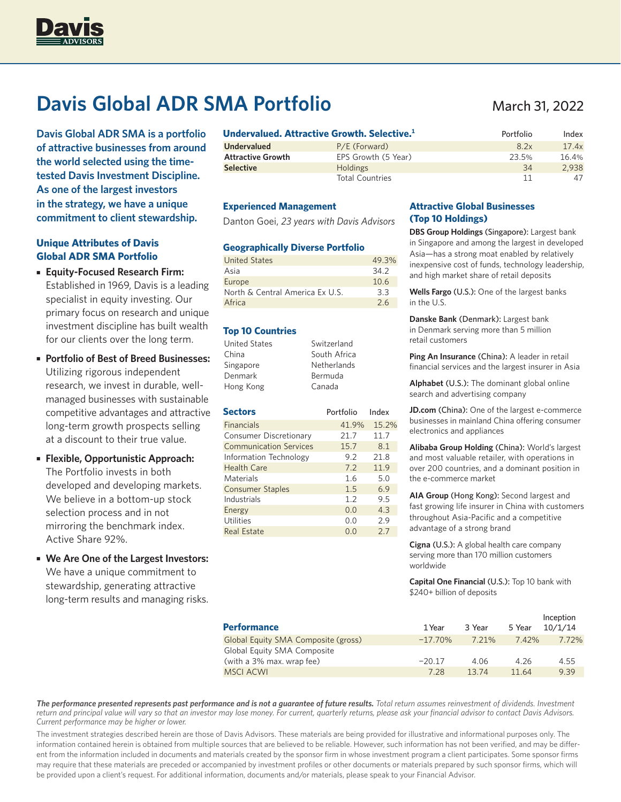

# **Davis Global ADR SMA Portfolio**

**Davis Global ADR SMA is a portfolio of attractive businesses from around the world selected using the timetested Davis Investment Discipline. As one of the largest investors in the strategy, we have a unique commitment to client stewardship.**

# **Unique Attributes of Davis Global ADR SMA Portfolio**

- **Equity-Focused Research Firm:**  Established in 1969, Davis is a leading specialist in equity investing. Our primary focus on research and unique investment discipline has built wealth for our clients over the long term.
- **Portfolio of Best of Breed Businesses:**  Utilizing rigorous independent research, we invest in durable, wellmanaged businesses with sustainable competitive advantages and attractive long-term growth prospects selling at a discount to their true value.
- **Flexible, Opportunistic Approach:**  The Portfolio invests in both developed and developing markets. We believe in a bottom-up stock selection process and in not mirroring the benchmark index. Active Share 92%.
- **We Are One of the Largest Investors:**  We have a unique commitment to stewardship, generating attractive long-term results and managing risks.

|                          | Undervalued. Attractive Growth. Selective. $^{\rm 1}$ | Portfolio | Index |
|--------------------------|-------------------------------------------------------|-----------|-------|
| <b>Undervalued</b>       | P/E (Forward)                                         | 8.2x      | 17.4x |
| <b>Attractive Growth</b> | EPS Growth (5 Year)                                   | 23.5%     | 16.4% |
| <b>Selective</b>         | <b>Holdings</b>                                       | 34        | 2.938 |
|                          | <b>Total Countries</b>                                | 11        | 47    |

### **Experienced Management**

Danton Goei, *23 years with Davis Advisors*

#### **Geographically Diverse Portfolio**

| <b>United States</b>            | 49.3% |
|---------------------------------|-------|
| Asia                            | 34.2  |
| Europe                          | 10.6  |
| North & Central America Ex U.S. | 3.3   |
| Africa                          | 2.6   |

## **Top 10 Countries**

| <b>United States</b> | Switzerland        |
|----------------------|--------------------|
| China                | South Africa       |
| Singapore            | <b>Netherlands</b> |
| Denmark              | Bermuda            |
| Hong Kong            | Canada             |

| <b>Sectors</b>                | Portfolio | Index |  |
|-------------------------------|-----------|-------|--|
| <b>Financials</b>             | 41.9%     | 15.2% |  |
| Consumer Discretionary        | 21.7      | 11.7  |  |
| <b>Communication Services</b> | 15.7      | 8.1   |  |
| Information Technology        | 9.2       | 21.8  |  |
| <b>Health Care</b>            | 7.2       | 11.9  |  |
| Materials                     | 1.6       | 5.0   |  |
| <b>Consumer Staples</b>       | 1.5       | 6.9   |  |
| Industrials                   | 1.2       | 9.5   |  |
| Energy                        | 0.0       | 4.3   |  |
| Utilities                     | O.O       | 2.9   |  |
| <b>Real Estate</b>            | 0.0       | 2.7   |  |

# **Attractive Global Businesses (Top 10 Holdings)**

**DBS Group Holdings** (Singapore): Largest bank in Singapore and among the largest in developed Asia—has a strong moat enabled by relatively inexpensive cost of funds, technology leadership, and high market share of retail deposits

**Wells Fargo** (U.S.): One of the largest banks in the U.S.

**Danske Bank** (Denmark): Largest bank in Denmark serving more than 5 million retail customers

**Ping An Insurance** (China): A leader in retail financial services and the largest insurer in Asia

**Alphabet** (U.S.): The dominant global online search and advertising company

**JD.com** (China): One of the largest e-commerce businesses in mainland China offering consumer electronics and appliances

**Alibaba Group Holding** (China): World's largest and most valuable retailer, with operations in over 200 countries, and a dominant position in the e-commerce market

**AIA Group** (Hong Kong): Second largest and fast growing life insurer in China with customers throughout Asia-Pacific and a competitive advantage of a strong brand

**Cigna** (U.S.): A global health care company serving more than 170 million customers worldwide

**Capital One Financial** (U.S.): Top 10 bank with \$240+ billion of deposits

| <b>Performance</b>                  | 1 Year     | 3 Year | 5 Year   | Inception<br>10/1/14 |
|-------------------------------------|------------|--------|----------|----------------------|
| Global Equity SMA Composite (gross) | $-17.70\%$ | 7 21%  | $7.42\%$ | 7.72%                |
| Global Equity SMA Composite         |            |        |          |                      |
| (with a 3% max. wrap fee)           | $-20.17$   | 4.06   | 4.26     | 4.55                 |
| <b>MSCI ACWI</b>                    | 7.28       | 1374   | 11.64    | 9.39                 |

*The performance presented represents past performance and is not a guarantee of future results. Total return assumes reinvestment of dividends. Investment return and principal value will vary so that an investor may lose money. For current, quarterly returns, please ask your financial advisor to contact Davis Advisors. Current performance may be higher or lower.* 

The investment strategies described herein are those of Davis Advisors. These materials are being provided for illustrative and informational purposes only. The information contained herein is obtained from multiple sources that are believed to be reliable. However, such information has not been verified, and may be different from the information included in documents and materials created by the sponsor firm in whose investment program a client participates. Some sponsor firms may require that these materials are preceded or accompanied by investment profiles or other documents or materials prepared by such sponsor firms, which will be provided upon a client's request. For additional information, documents and/or materials, please speak to your Financial Advisor.

# March 31, 2022